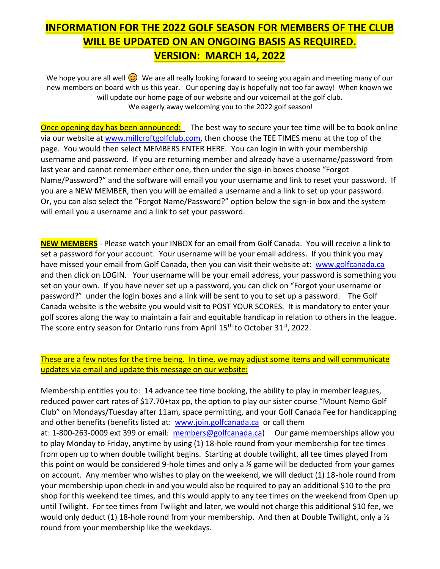## **INFORMATION FOR THE 2022 GOLF SEASON FOR MEMBERS OF THE CLUB WILL BE UPDATED ON AN ONGOING BASIS AS REQUIRED. VERSION: MARCH 14, 2022**

We hope you are all well We are all really looking forward to seeing you again and meeting many of our new members on board with us this year. Our opening day is hopefully not too far away! When known we will update our home page of our website and our voicemail at the golf club. We eagerly away welcoming you to the 2022 golf season!

Once opening day has been announced: The best way to secure your tee time will be to book online via our website at [www.millcroftgolfclub.com,](http://www.millcroftgolfclub.com/) then choose the TEE TIMES menu at the top of the page. You would then select MEMBERS ENTER HERE. You can login in with your membership username and password. If you are returning member and already have a username/password from last year and cannot remember either one, then under the sign-in boxes choose "Forgot Name/Password?" and the software will email you your username and link to reset your password. If you are a NEW MEMBER, then you will be emailed a username and a link to set up your password. Or, you can also select the "Forgot Name/Password?" option below the sign-in box and the system will email you a username and a link to set your password.

**NEW MEMBERS** - Please watch your INBOX for an email from Golf Canada. You will receive a link to set a password for your account. Your username will be your email address. If you think you may have missed your email from Golf Canada, then you can visit their website at: [www.golfcanada.ca](http://www.golfcanada.ca/) and then click on LOGIN. Your username will be your email address, your password is something you set on your own. If you have never set up a password, you can click on "Forgot your username or password?" under the login boxes and a link will be sent to you to set up a password. The Golf Canada website is the website you would visit to POST YOUR SCORES. It is mandatory to enter your golf scores along the way to maintain a fair and equitable handicap in relation to others in the league. The score entry season for Ontario runs from April 15<sup>th</sup> to October 31<sup>st</sup>, 2022.

## These are a few notes for the time being. In time, we may adjust some items and will communicate updates via email and update this message on our website:

Membership entitles you to: 14 advance tee time booking, the ability to play in member leagues, reduced power cart rates of \$17.70+tax pp, the option to play our sister course "Mount Nemo Golf Club" on Mondays/Tuesday after 11am, space permitting, and your Golf Canada Fee for handicapping and other benefits (benefits listed at: [www.join.golfcanada.ca](http://www.join.golfcanada.ca/) or call them at: 1-800-263-0009 ext 399 or email: [members@golfcanada.ca\)](mailto:members@golfcanada.ca) Our game memberships allow you to play Monday to Friday, anytime by using (1) 18-hole round from your membership for tee times from open up to when double twilight begins. Starting at double twilight, all tee times played from this point on would be considered 9-hole times and only a  $\frac{1}{2}$  game will be deducted from your games on account. Any member who wishes to play on the weekend, we will deduct (1) 18-hole round from your membership upon check-in and you would also be required to pay an additional \$10 to the pro shop for this weekend tee times, and this would apply to any tee times on the weekend from Open up until Twilight. For tee times from Twilight and later, we would not charge this additional \$10 fee, we would only deduct (1) 18-hole round from your membership. And then at Double Twilight, only a 1/2 round from your membership like the weekdays.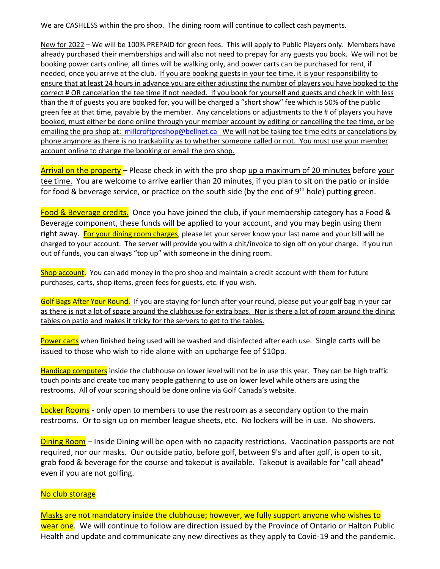We are CASHLESS within the pro shop. The dining room will continue to collect cash payments.

New for 2022 – We will be 100% PREPAID for green fees. This will apply to Public Players only. Members have already purchased their memberships and will also not need to prepay for any guests you book. We will not be booking power carts online, all times will be walking only, and power carts can be purchased for rent, if needed, once you arrive at the club. If you are booking guests in your tee time, it is your responsibility to ensure that at least 24 hours in advance you are either adjusting the number of players you have booked to the correct # OR cancelation the tee time if not needed. If you book for yourself and guests and check in with less than the # of guests you are booked for, you will be charged a "short show" fee which is 50% of the public green fee at that time, payable by the member. Any cancelations or adjustments to the # of players you have booked, must either be done online through your member account by editing or cancelling the tee time, or be emailing the pro shop at: [millcroftproshop@bellnet.ca](mailto:millcroftproshop@bellnet.ca) We will not be taking tee time edits or cancelations by phone anymore as there is no trackability as to whether someone called or not. You must use your member account online to change the booking or email the pro shop.

Arrival on the property – Please check in with the pro shop up a maximum of 20 minutes before your tee time. You are welcome to arrive earlier than 20 minutes, if you plan to sit on the patio or inside for food & beverage service, or practice on the south side (by the end of 9<sup>th</sup> hole) putting green.

Food & Beverage credits. Once you have joined the club, if your membership category has a Food & Beverage component, these funds will be applied to your account, and you may begin using them right away. For your dining room charges, please let your server know your last name and your bill will be charged to your account. The server will provide you with a chit/invoice to sign off on your charge. If you run out of funds, you can always "top up" with someone in the dining room.

Shop account. You can add money in the pro shop and maintain a credit account with them for future purchases, carts, shop items, green fees for guests, etc. if you wish.

Golf Bags After Your Round. If you are staying for lunch after your round, please put your golf bag in your car as there is not a lot of space around the clubhouse for extra bags. Nor is there a lot of room around the dining tables on patio and makes it tricky for the servers to get to the tables.

Power carts when finished being used will be washed and disinfected after each use. Single carts will be issued to those who wish to ride alone with an upcharge fee of \$10pp.

Handicap computers inside the clubhouse on lower level will not be in use this year. They can be high traffic touch points and create too many people gathering to use on lower level while others are using the restrooms. All of your scoring should be done online via Golf Canada's website.

Locker Rooms - only open to members to use the restroom as a secondary option to the main restrooms. Or to sign up on member league sheets, etc. No lockers will be in use. No showers.

Dining Room – Inside Dining will be open with no capacity restrictions. Vaccination passports are not required, nor our masks. Our outside patio, before golf, between 9's and after golf, is open to sit, grab food & beverage for the course and takeout is available. Takeout is available for "call ahead" even if you are not golfing.

## No club storage

Masks are not mandatory inside the clubhouse; however, we fully support anyone who wishes to wear one. We will continue to follow are direction issued by the Province of Ontario or Halton Public Health and update and communicate any new directives as they apply to Covid-19 and the pandemic.